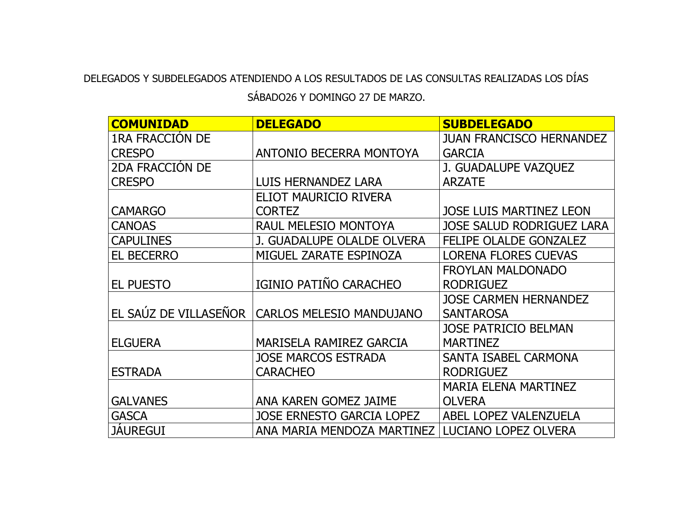## DELEGADOS Y SUBDELEGADOS ATENDIENDO A LOS RESULTADOS DE LAS CONSULTAS REALIZADAS LOS DÍAS SÁBADO26 Y DOMINGO 27 DE MARZO.

| <b>COMUNIDAD</b>       | <b>DELEGADO</b>                  | <b>SUBDELEGADO</b>               |
|------------------------|----------------------------------|----------------------------------|
| <b>1RA FRACCION DE</b> |                                  | <b>JUAN FRANCISCO HERNANDEZ</b>  |
| <b>CRESPO</b>          | <b>ANTONIO BECERRA MONTOYA</b>   | <b>GARCIA</b>                    |
| <b>2DA FRACCION DE</b> |                                  | J. GUADALUPE VAZQUEZ             |
| <b>CRESPO</b>          | <b>LUIS HERNANDEZ LARA</b>       | <b>ARZATE</b>                    |
|                        | ELIOT MAURICIO RIVERA            |                                  |
| <b>CAMARGO</b>         | <b>CORTEZ</b>                    | <b>JOSE LUIS MARTINEZ LEON</b>   |
| <b>CANOAS</b>          | <b>RAUL MELESIO MONTOYA</b>      | <b>JOSE SALUD RODRIGUEZ LARA</b> |
| <b>CAPULINES</b>       | J. GUADALUPE OLALDE OLVERA       | <b>FELIPE OLALDE GONZALEZ</b>    |
| <b>EL BECERRO</b>      | MIGUEL ZARATE ESPINOZA           | <b>LORENA FLORES CUEVAS</b>      |
|                        |                                  | <b>FROYLAN MALDONADO</b>         |
| <b>EL PUESTO</b>       | IGINIO PATIÑO CARACHEO           | <b>RODRIGUEZ</b>                 |
|                        |                                  | <b>JOSE CARMEN HERNANDEZ</b>     |
| EL SAÚZ DE VILLASEÑOR  | <b>CARLOS MELESIO MANDUJANO</b>  | <b>SANTAROSA</b>                 |
|                        |                                  | <b>JOSE PATRICIO BELMAN</b>      |
| <b>ELGUERA</b>         | <b>MARISELA RAMIREZ GARCIA</b>   | <b>MARTINEZ</b>                  |
|                        | <b>JOSE MARCOS ESTRADA</b>       | SANTA ISABEL CARMONA             |
| <b>ESTRADA</b>         | <b>CARACHEO</b>                  | <b>RODRIGUEZ</b>                 |
|                        |                                  | <b>MARIA ELENA MARTINEZ</b>      |
| <b>GALVANES</b>        | <b>ANA KAREN GOMEZ JAIME</b>     | <b>OLVERA</b>                    |
| <b>GASCA</b>           | <b>JOSE ERNESTO GARCIA LOPEZ</b> | <b>ABEL LOPEZ VALENZUELA</b>     |
| <b>JAUREGUI</b>        | ANA MARIA MENDOZA MARTINEZ       | LUCIANO LOPEZ OLVERA             |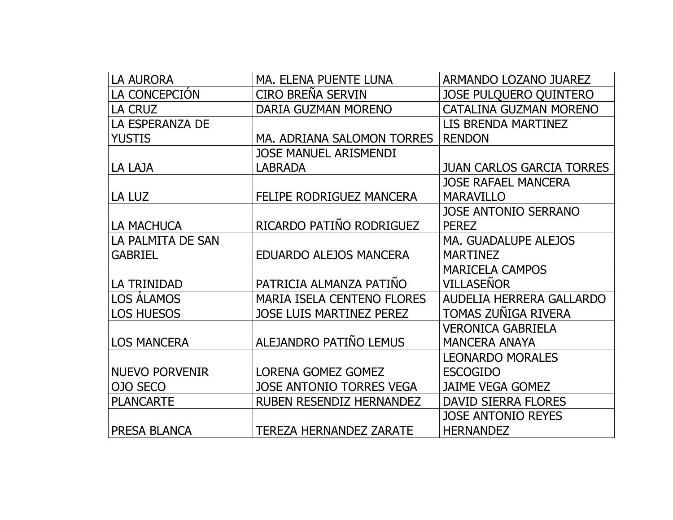| <b>LA AURORA</b>      | MA. ELENA PUENTE LUNA             | ARMANDO LOZANO JUAREZ            |
|-----------------------|-----------------------------------|----------------------------------|
| LA CONCEPCIÓN         | CIRO BREÑA SERVIN                 | JOSE PULQUERO QUINTERO           |
| LA CRUZ               | DARIA GUZMAN MORENO               | <b>CATALINA GUZMAN MORENO</b>    |
| LA ESPERANZA DE       |                                   | LIS BRENDA MARTINEZ              |
| <b>YUSTIS</b>         | MA. ADRIANA SALOMON TORRES        | <b>RENDON</b>                    |
|                       | <b>JOSE MANUEL ARISMENDI</b>      |                                  |
| LA LAJA               | <b>LABRADA</b>                    | <b>JUAN CARLOS GARCIA TORRES</b> |
|                       |                                   | <b>JOSE RAFAEL MANCERA</b>       |
| LA LUZ                | FELIPE RODRIGUEZ MANCERA          | <b>MARAVILLO</b>                 |
|                       |                                   | <b>JOSE ANTONIO SERRANO</b>      |
| <b>LA MACHUCA</b>     | RICARDO PATIÑO RODRIGUEZ          | <b>PEREZ</b>                     |
| LA PALMITA DE SAN     |                                   | <b>MA. GUADALUPE ALEJOS</b>      |
| <b>GABRIEL</b>        | <b>EDUARDO ALEJOS MANCERA</b>     | <b>MARTINEZ</b>                  |
|                       |                                   | <b>MARICELA CAMPOS</b>           |
| LA TRINIDAD           | PATRICIA ALMANZA PATIÑO           | <b>VILLASEÑOR</b>                |
| <b>LOS ALAMOS</b>     | <b>MARIA ISELA CENTENO FLORES</b> | AUDELIA HERRERA GALLARDO         |
| <b>LOS HUESOS</b>     | <b>JOSE LUIS MARTINEZ PEREZ</b>   | TOMAS ZUÑIGA RIVERA              |
|                       |                                   | <b>VERONICA GABRIELA</b>         |
| <b>LOS MANCERA</b>    | ALEJANDRO PATIÑO LEMUS            | <b>MANCERA ANAYA</b>             |
|                       |                                   | <b>LEONARDO MORALES</b>          |
| <b>NUEVO PORVENIR</b> | LORENA GOMEZ GOMEZ                | <b>ESCOGIDO</b>                  |
| OJO SECO              | <b>JOSE ANTONIO TORRES VEGA</b>   | <b>JAIME VEGA GOMEZ</b>          |
| <b>PLANCARTE</b>      | <b>RUBEN RESENDIZ HERNANDEZ</b>   | <b>DAVID SIERRA FLORES</b>       |
|                       |                                   | <b>JOSE ANTONIO REYES</b>        |
| PRESA BLANCA          | <b>TEREZA HERNANDEZ ZARATE</b>    | <b>HERNANDEZ</b>                 |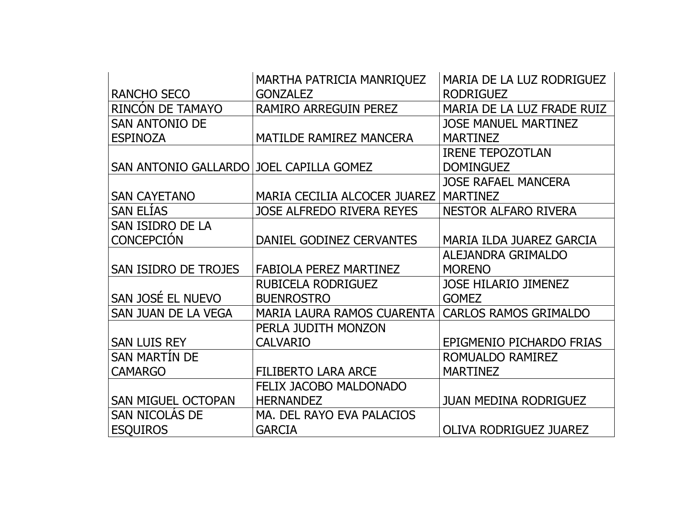|                                         | MARTHA PATRICIA MANRIQUEZ         | MARIA DE LA LUZ RODRIGUEZ     |
|-----------------------------------------|-----------------------------------|-------------------------------|
| <b>RANCHO SECO</b>                      | <b>GONZALEZ</b>                   | <b>RODRIGUEZ</b>              |
| RINCÓN DE TAMAYO                        | <b>RAMIRO ARREGUIN PEREZ</b>      | MARIA DE LA LUZ FRADE RUIZ    |
| <b>SAN ANTONIO DE</b>                   |                                   | <b>JOSE MANUEL MARTINEZ</b>   |
| <b>ESPINOZA</b>                         | <b>MATILDE RAMIREZ MANCERA</b>    | <b>MARTINEZ</b>               |
|                                         |                                   | <b>IRENE TEPOZOTLAN</b>       |
| SAN ANTONIO GALLARDO JOEL CAPILLA GOMEZ |                                   | <b>DOMINGUEZ</b>              |
|                                         |                                   | <b>JOSE RAFAEL MANCERA</b>    |
| <b>SAN CAYETANO</b>                     | MARIA CECILIA ALCOCER JUAREZ      | <b>MARTINEZ</b>               |
| <b>SAN ELÍAS</b>                        | <b>JOSE ALFREDO RIVERA REYES</b>  | <b>NESTOR ALFARO RIVERA</b>   |
| SAN ISIDRO DE LA                        |                                   |                               |
| <b>CONCEPCIÓN</b>                       | DANIEL GODINEZ CERVANTES          | MARIA ILDA JUAREZ GARCIA      |
|                                         |                                   | ALEJANDRA GRIMALDO            |
| SAN ISIDRO DE TROJES                    | <b>FABIOLA PEREZ MARTINEZ</b>     | <b>MORENO</b>                 |
|                                         | RUBICELA RODRIGUEZ                | <b>JOSE HILARIO JIMENEZ</b>   |
| SAN JOSÉ EL NUEVO                       | <b>BUENROSTRO</b>                 | <b>GOMEZ</b>                  |
| SAN JUAN DE LA VEGA                     | <b>MARIA LAURA RAMOS CUARENTA</b> | <b>CARLOS RAMOS GRIMALDO</b>  |
|                                         | PERLA JUDITH MONZON               |                               |
| <b>SAN LUIS REY</b>                     | <b>CALVARIO</b>                   | EPIGMENIO PICHARDO FRIAS      |
| <b>SAN MARTIN DE</b>                    |                                   | ROMUALDO RAMIREZ              |
| <b>CAMARGO</b>                          | <b>FILIBERTO LARA ARCE</b>        | <b>MARTINEZ</b>               |
|                                         | <b>FELIX JACOBO MALDONADO</b>     |                               |
| <b>SAN MIGUEL OCTOPAN</b>               | <b>HERNANDEZ</b>                  | <b>JUAN MEDINA RODRIGUEZ</b>  |
| <b>SAN NICOLAS DE</b>                   | MA. DEL RAYO EVA PALACIOS         |                               |
| <b>ESQUIROS</b>                         | <b>GARCIA</b>                     | <b>OLIVA RODRIGUEZ JUAREZ</b> |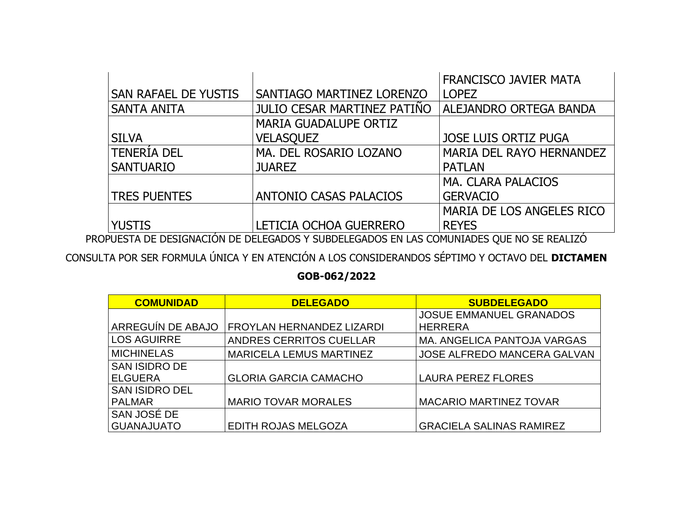|                      |                                                                                         | <b>FRANCISCO JAVIER MATA</b> |
|----------------------|-----------------------------------------------------------------------------------------|------------------------------|
| SAN RAFAEL DE YUSTIS | SANTIAGO MARTINEZ LORENZO                                                               | <b>LOPEZ</b>                 |
| <b>SANTA ANITA</b>   | JULIO CESAR MARTINEZ PATIÑO                                                             | ALEJANDRO ORTEGA BANDA       |
|                      | <b>MARIA GUADALUPE ORTIZ</b>                                                            |                              |
| <b>SILVA</b>         | <b>VELASQUEZ</b>                                                                        | <b>JOSE LUIS ORTIZ PUGA</b>  |
| <b>TENERIA DEL</b>   | MA. DEL ROSARIO LOZANO                                                                  | MARIA DEL RAYO HERNANDEZ     |
| <b>SANTUARIO</b>     | <b>JUAREZ</b>                                                                           | <b>PATLAN</b>                |
|                      |                                                                                         | <b>MA. CLARA PALACIOS</b>    |
| <b>TRES PUENTES</b>  | <b>ANTONIO CASAS PALACIOS</b>                                                           | <b>GERVACIO</b>              |
|                      |                                                                                         | MARIA DE LOS ANGELES RICO    |
| <b>YUSTIS</b>        | LETICIA OCHOA GUERRERO                                                                  | <b>REYES</b>                 |
|                      | DUFCTA DE DECICNIACIÓN DE DELECADOS VICUDDELECADOS EN LAS COMUNITADES QUE NO SE DEALITO |                              |

PROPUESTA DE DESIGNACIÓN DE DELEGADOS Y SUBDELEGADOS EN LAS COMUNIADES QUE NO SE REALIZÓ

CONSULTA POR SER FORMULA ÚNICA Y EN ATENCIÓN A LOS CONSIDERANDOS SÉPTIMO Y OCTAVO DEL **DICTAMEN** 

## **GOB-062/2022**

| <b>COMUNIDAD</b>      | <b>DELEGADO</b>                | <b>SUBDELEGADO</b>                 |
|-----------------------|--------------------------------|------------------------------------|
|                       |                                | <b>JOSUE EMMANUEL GRANADOS</b>     |
| ARREGUÍN DE ABAJO     | FROYLAN HERNANDEZ LIZARDI      | <b>HERRERA</b>                     |
| <b>LOS AGUIRRE</b>    | <b>ANDRES CERRITOS CUELLAR</b> | MA. ANGELICA PANTOJA VARGAS        |
| <b>MICHINELAS</b>     | <b>MARICELA LEMUS MARTINEZ</b> | <b>JOSE ALFREDO MANCERA GALVAN</b> |
| <b>SAN ISIDRO DE</b>  |                                |                                    |
| <b>ELGUERA</b>        | <b>GLORIA GARCIA CAMACHO</b>   | <b>LAURA PEREZ FLORES</b>          |
| <b>SAN ISIDRO DEL</b> |                                |                                    |
| <b>PALMAR</b>         | <b>MARIO TOVAR MORALES</b>     | <b>MACARIO MARTINEZ TOVAR</b>      |
| SAN JOSÉ DE           |                                |                                    |
| <b>GUANAJUATO</b>     | EDITH ROJAS MELGOZA            | <b>GRACIELA SALINAS RAMIREZ</b>    |